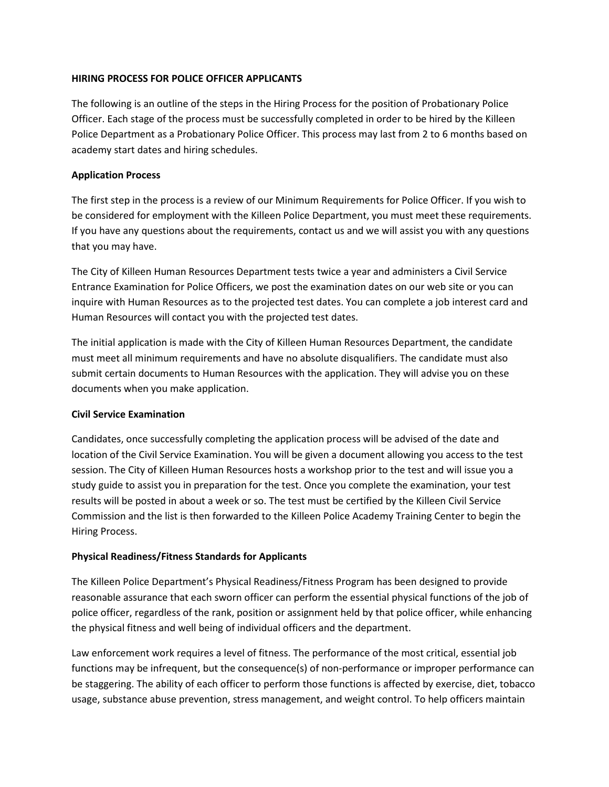## **HIRING PROCESS FOR POLICE OFFICER APPLICANTS**

The following is an outline of the steps in the Hiring Process for the position of Probationary Police Officer. Each stage of the process must be successfully completed in order to be hired by the Killeen Police Department as a Probationary Police Officer. This process may last from 2 to 6 months based on academy start dates and hiring schedules.

## **Application Process**

The first step in the process is a review of our Minimum Requirements for Police Officer. If you wish to be considered for employment with the Killeen Police Department, you must meet these requirements. If you have any questions about the requirements, contact us and we will assist you with any questions that you may have.

The City of Killeen Human Resources Department tests twice a year and administers a Civil Service Entrance Examination for Police Officers, we post the examination dates on our web site or you can inquire with Human Resources as to the projected test dates. You can complete a job interest card and Human Resources will contact you with the projected test dates.

The initial application is made with the City of Killeen Human Resources Department, the candidate must meet all minimum requirements and have no absolute disqualifiers. The candidate must also submit certain documents to Human Resources with the application. They will advise you on these documents when you make application.

### **Civil Service Examination**

Candidates, once successfully completing the application process will be advised of the date and location of the Civil Service Examination. You will be given a document allowing you access to the test session. The City of Killeen Human Resources hosts a workshop prior to the test and will issue you a study guide to assist you in preparation for the test. Once you complete the examination, your test results will be posted in about a week or so. The test must be certified by the Killeen Civil Service Commission and the list is then forwarded to the Killeen Police Academy Training Center to begin the Hiring Process.

# **Physical Readiness/Fitness Standards for Applicants**

The Killeen Police Department's Physical Readiness/Fitness Program has been designed to provide reasonable assurance that each sworn officer can perform the essential physical functions of the job of police officer, regardless of the rank, position or assignment held by that police officer, while enhancing the physical fitness and well being of individual officers and the department.

Law enforcement work requires a level of fitness. The performance of the most critical, essential job functions may be infrequent, but the consequence(s) of non-performance or improper performance can be staggering. The ability of each officer to perform those functions is affected by exercise, diet, tobacco usage, substance abuse prevention, stress management, and weight control. To help officers maintain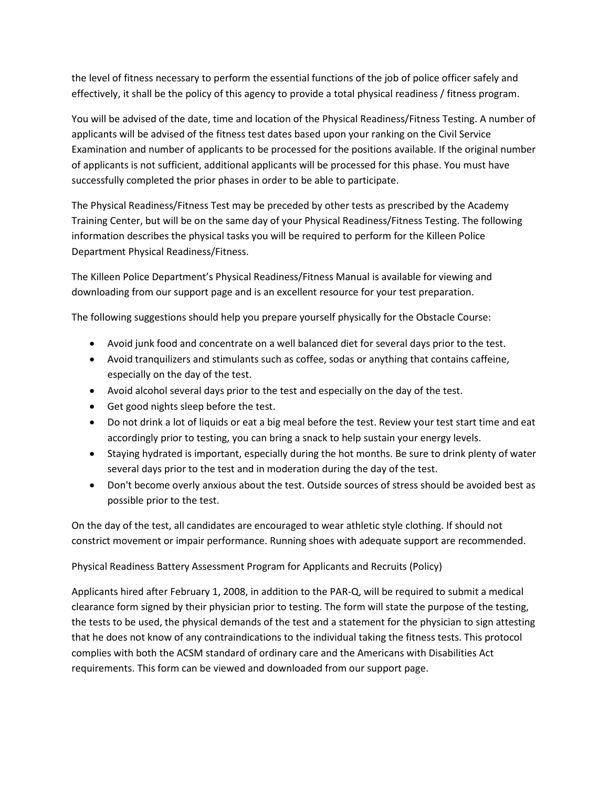the level of fitness necessary to perform the essential functions of the job of police officer safely and effectively, it shall be the policy of this agency to provide a total physical readiness / fitness program.

You will be advised of the date, time and location of the Physical Readiness/Fitness Testing. A number of applicants will be advised of the fitness test dates based upon your ranking on the Civil Service Examination and number of applicants to be processed for the positions available. If the original number of applicants is not sufficient, additional applicants will be processed for this phase. You must have successfully completed the prior phases in order to be able to participate.

The Physical Readiness/Fitness Test may be preceded by other tests as prescribed by the Academy Training Center, but will be on the same day of your Physical Readiness/Fitness Testing. The following information describes the physical tasks you will be required to perform for the Killeen Police Department Physical Readiness/Fitness.

The Killeen Police Department's Physical Readiness/Fitness Manual is available for viewing and downloading from our support page and is an excellent resource for your test preparation.

The following suggestions should help you prepare yourself physically for the Obstacle Course:

- Avoid junk food and concentrate on a well balanced diet for several days prior to the test.
- Avoid tranquilizers and stimulants such as coffee, sodas or anything that contains caffeine, especially on the day of the test.
- Avoid alcohol several days prior to the test and especially on the day of the test.
- Get good nights sleep before the test.
- Do not drink a lot of liquids or eat a big meal before the test. Review your test start time and eat accordingly prior to testing, you can bring a snack to help sustain your energy levels.
- Staying hydrated is important, especially during the hot months. Be sure to drink plenty of water several days prior to the test and in moderation during the day of the test.
- Don't become overly anxious about the test. Outside sources of stress should be avoided best as possible prior to the test.

On the day of the test, all candidates are encouraged to wear athletic style clothing. If should not constrict movement or impair performance. Running shoes with adequate support are recommended.

Physical Readiness Battery Assessment Program for Applicants and Recruits (Policy)

Applicants hired after February 1, 2008, in addition to the PAR-Q, will be required to submit a medical clearance form signed by their physician prior to testing. The form will state the purpose of the testing, the tests to be used, the physical demands of the test and a statement for the physician to sign attesting that he does not know of any contraindications to the individual taking the fitness tests. This protocol complies with both the ACSM standard of ordinary care and the Americans with Disabilities Act requirements. This form can be viewed and downloaded from our support page.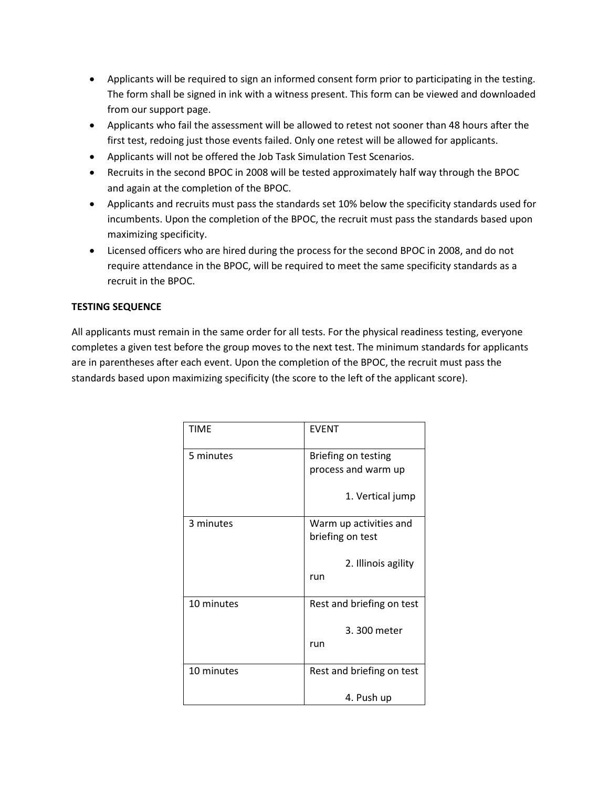- Applicants will be required to sign an informed consent form prior to participating in the testing. The form shall be signed in ink with a witness present. This form can be viewed and downloaded from our support page.
- Applicants who fail the assessment will be allowed to retest not sooner than 48 hours after the first test, redoing just those events failed. Only one retest will be allowed for applicants.
- Applicants will not be offered the Job Task Simulation Test Scenarios.
- Recruits in the second BPOC in 2008 will be tested approximately half way through the BPOC and again at the completion of the BPOC.
- Applicants and recruits must pass the standards set 10% below the specificity standards used for incumbents. Upon the completion of the BPOC, the recruit must pass the standards based upon maximizing specificity.
- Licensed officers who are hired during the process for the second BPOC in 2008, and do not require attendance in the BPOC, will be required to meet the same specificity standards as a recruit in the BPOC.

## **TESTING SEQUENCE**

All applicants must remain in the same order for all tests. For the physical readiness testing, everyone completes a given test before the group moves to the next test. The minimum standards for applicants are in parentheses after each event. Upon the completion of the BPOC, the recruit must pass the standards based upon maximizing specificity (the score to the left of the applicant score).

| <b>TIME</b> | <b>EVENT</b>              |
|-------------|---------------------------|
| 5 minutes   | Briefing on testing       |
|             | process and warm up       |
|             | 1. Vertical jump          |
| 3 minutes   | Warm up activities and    |
|             | briefing on test          |
|             | 2. Illinois agility       |
|             | run                       |
| 10 minutes  | Rest and briefing on test |
|             | 3.300 meter               |
|             | run                       |
| 10 minutes  | Rest and briefing on test |
|             | 4. Push up                |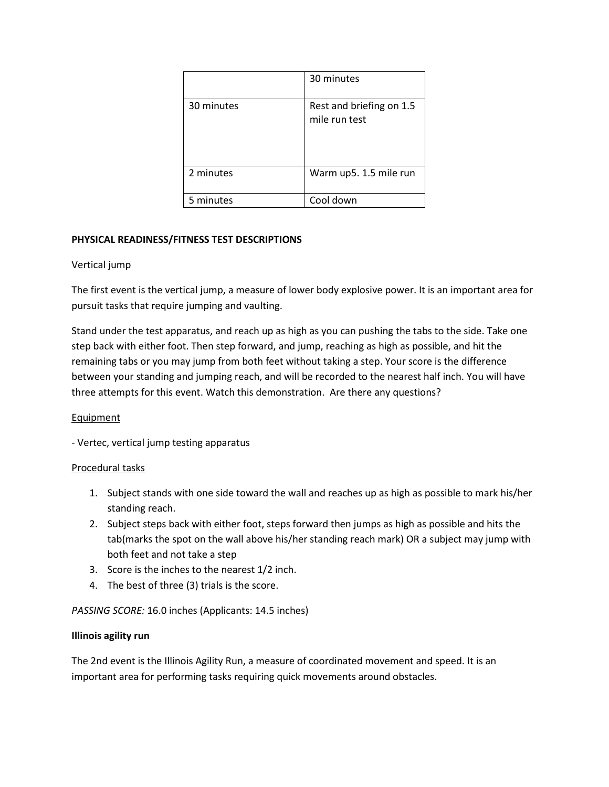|            | 30 minutes                                |
|------------|-------------------------------------------|
| 30 minutes | Rest and briefing on 1.5<br>mile run test |
| 2 minutes  | Warm up5. 1.5 mile run                    |
| 5 minutes  | Cool down                                 |

# **PHYSICAL READINESS/FITNESS TEST DESCRIPTIONS**

### Vertical jump

The first event is the vertical jump, a measure of lower body explosive power. It is an important area for pursuit tasks that require jumping and vaulting.

Stand under the test apparatus, and reach up as high as you can pushing the tabs to the side. Take one step back with either foot. Then step forward, and jump, reaching as high as possible, and hit the remaining tabs or you may jump from both feet without taking a step. Your score is the difference between your standing and jumping reach, and will be recorded to the nearest half inch. You will have three attempts for this event. Watch this demonstration. Are there any questions?

### Equipment

- Vertec, vertical jump testing apparatus

### Procedural tasks

- 1. Subject stands with one side toward the wall and reaches up as high as possible to mark his/her standing reach.
- 2. Subject steps back with either foot, steps forward then jumps as high as possible and hits the tab(marks the spot on the wall above his/her standing reach mark) OR a subject may jump with both feet and not take a step
- 3. Score is the inches to the nearest 1/2 inch.
- 4. The best of three (3) trials is the score.

*PASSING SCORE:* 16.0 inches (Applicants: 14.5 inches)

### **Illinois agility run**

The 2nd event is the Illinois Agility Run, a measure of coordinated movement and speed. It is an important area for performing tasks requiring quick movements around obstacles.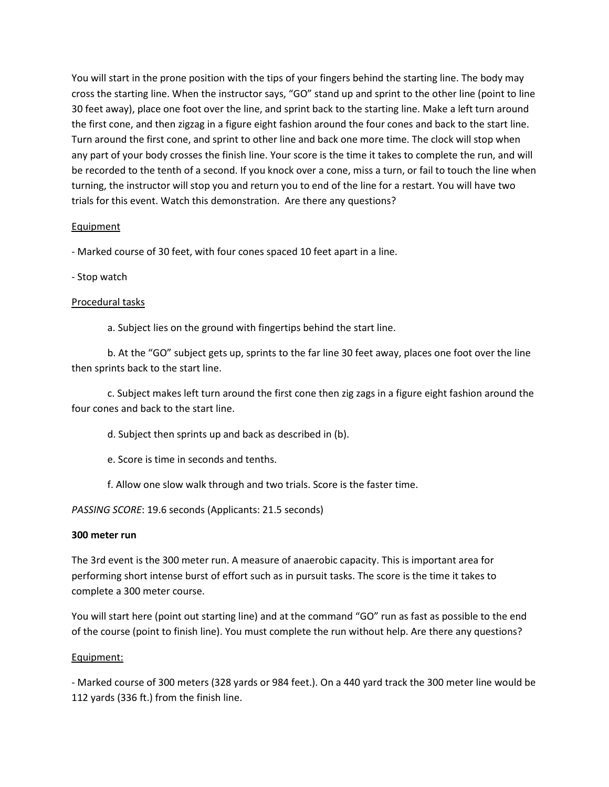You will start in the prone position with the tips of your fingers behind the starting line. The body may cross the starting line. When the instructor says, "GO" stand up and sprint to the other line (point to line 30 feet away), place one foot over the line, and sprint back to the starting line. Make a left turn around the first cone, and then zigzag in a figure eight fashion around the four cones and back to the start line. Turn around the first cone, and sprint to other line and back one more time. The clock will stop when any part of your body crosses the finish line. Your score is the time it takes to complete the run, and will be recorded to the tenth of a second. If you knock over a cone, miss a turn, or fail to touch the line when turning, the instructor will stop you and return you to end of the line for a restart. You will have two trials for this event. Watch this demonstration. Are there any questions?

## Equipment

- Marked course of 30 feet, with four cones spaced 10 feet apart in a line.

- Stop watch

### Procedural tasks

a. Subject lies on the ground with fingertips behind the start line.

b. At the "GO" subject gets up, sprints to the far line 30 feet away, places one foot over the line then sprints back to the start line.

c. Subject makes left turn around the first cone then zig zags in a figure eight fashion around the four cones and back to the start line.

d. Subject then sprints up and back as described in (b).

e. Score is time in seconds and tenths.

f. Allow one slow walk through and two trials. Score is the faster time.

*PASSING SCORE*: 19.6 seconds (Applicants: 21.5 seconds)

### **300 meter run**

The 3rd event is the 300 meter run. A measure of anaerobic capacity. This is important area for performing short intense burst of effort such as in pursuit tasks. The score is the time it takes to complete a 300 meter course.

You will start here (point out starting line) and at the command "GO" run as fast as possible to the end of the course (point to finish line). You must complete the run without help. Are there any questions?

### Equipment:

- Marked course of 300 meters (328 yards or 984 feet.). On a 440 yard track the 300 meter line would be 112 yards (336 ft.) from the finish line.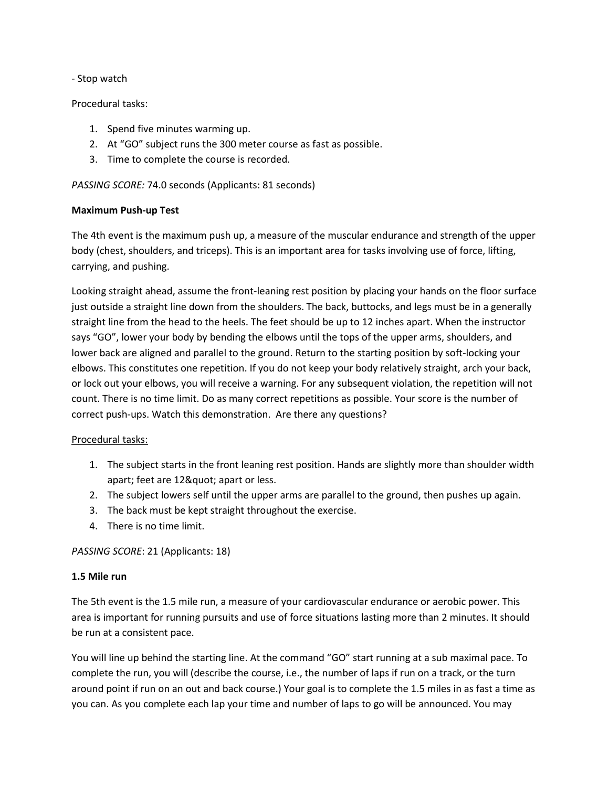### - Stop watch

## Procedural tasks:

- 1. Spend five minutes warming up.
- 2. At "GO" subject runs the 300 meter course as fast as possible.
- 3. Time to complete the course is recorded.

## *PASSING SCORE:* 74.0 seconds (Applicants: 81 seconds)

## **Maximum Push-up Test**

The 4th event is the maximum push up, a measure of the muscular endurance and strength of the upper body (chest, shoulders, and triceps). This is an important area for tasks involving use of force, lifting, carrying, and pushing.

Looking straight ahead, assume the front-leaning rest position by placing your hands on the floor surface just outside a straight line down from the shoulders. The back, buttocks, and legs must be in a generally straight line from the head to the heels. The feet should be up to 12 inches apart. When the instructor says "GO", lower your body by bending the elbows until the tops of the upper arms, shoulders, and lower back are aligned and parallel to the ground. Return to the starting position by soft-locking your elbows. This constitutes one repetition. If you do not keep your body relatively straight, arch your back, or lock out your elbows, you will receive a warning. For any subsequent violation, the repetition will not count. There is no time limit. Do as many correct repetitions as possible. Your score is the number of correct push-ups. Watch this demonstration. Are there any questions?

# Procedural tasks:

- 1. The subject starts in the front leaning rest position. Hands are slightly more than shoulder width apart; feet are 12" apart or less.
- 2. The subject lowers self until the upper arms are parallel to the ground, then pushes up again.
- 3. The back must be kept straight throughout the exercise.
- 4. There is no time limit.

### *PASSING SCORE*: 21 (Applicants: 18)

### **1.5 Mile run**

The 5th event is the 1.5 mile run, a measure of your cardiovascular endurance or aerobic power. This area is important for running pursuits and use of force situations lasting more than 2 minutes. It should be run at a consistent pace.

You will line up behind the starting line. At the command "GO" start running at a sub maximal pace. To complete the run, you will (describe the course, i.e., the number of laps if run on a track, or the turn around point if run on an out and back course.) Your goal is to complete the 1.5 miles in as fast a time as you can. As you complete each lap your time and number of laps to go will be announced. You may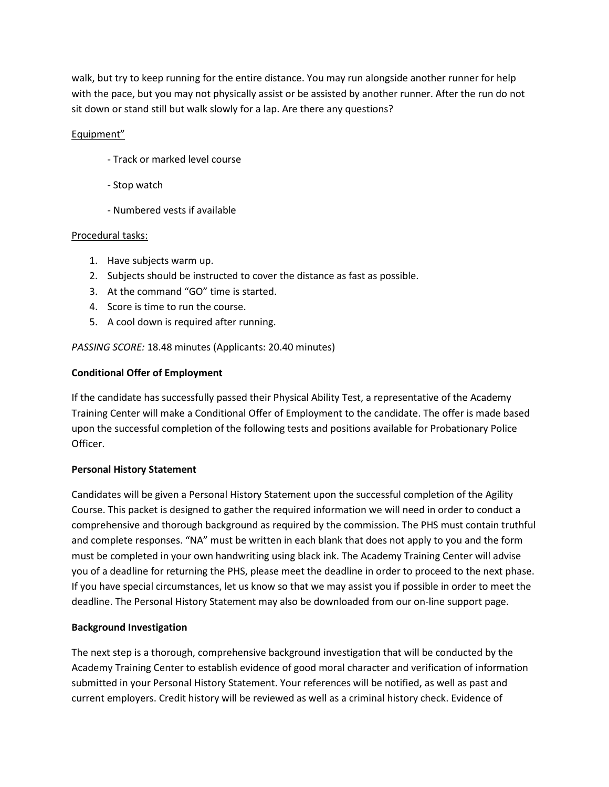walk, but try to keep running for the entire distance. You may run alongside another runner for help with the pace, but you may not physically assist or be assisted by another runner. After the run do not sit down or stand still but walk slowly for a lap. Are there any questions?

# Equipment"

- Track or marked level course
- Stop watch
- Numbered vests if available

### Procedural tasks:

- 1. Have subjects warm up.
- 2. Subjects should be instructed to cover the distance as fast as possible.
- 3. At the command "GO" time is started.
- 4. Score is time to run the course.
- 5. A cool down is required after running.

*PASSING SCORE:* 18.48 minutes (Applicants: 20.40 minutes)

## **Conditional Offer of Employment**

If the candidate has successfully passed their Physical Ability Test, a representative of the Academy Training Center will make a Conditional Offer of Employment to the candidate. The offer is made based upon the successful completion of the following tests and positions available for Probationary Police Officer.

### **Personal History Statement**

Candidates will be given a Personal History Statement upon the successful completion of the Agility Course. This packet is designed to gather the required information we will need in order to conduct a comprehensive and thorough background as required by the commission. The PHS must contain truthful and complete responses. "NA" must be written in each blank that does not apply to you and the form must be completed in your own handwriting using black ink. The Academy Training Center will advise you of a deadline for returning the PHS, please meet the deadline in order to proceed to the next phase. If you have special circumstances, let us know so that we may assist you if possible in order to meet the deadline. The Personal History Statement may also be downloaded from our on-line support page.

### **Background Investigation**

The next step is a thorough, comprehensive background investigation that will be conducted by the Academy Training Center to establish evidence of good moral character and verification of information submitted in your Personal History Statement. Your references will be notified, as well as past and current employers. Credit history will be reviewed as well as a criminal history check. Evidence of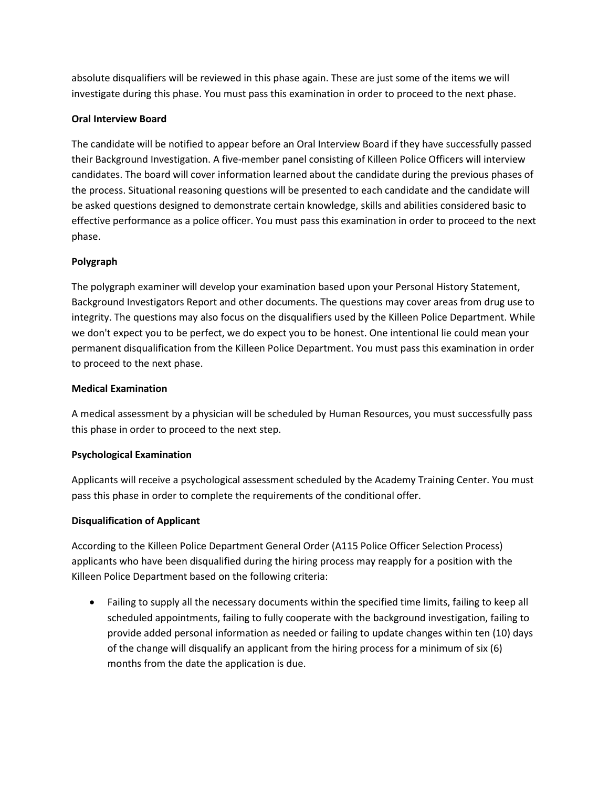absolute disqualifiers will be reviewed in this phase again. These are just some of the items we will investigate during this phase. You must pass this examination in order to proceed to the next phase.

## **Oral Interview Board**

The candidate will be notified to appear before an Oral Interview Board if they have successfully passed their Background Investigation. A five-member panel consisting of Killeen Police Officers will interview candidates. The board will cover information learned about the candidate during the previous phases of the process. Situational reasoning questions will be presented to each candidate and the candidate will be asked questions designed to demonstrate certain knowledge, skills and abilities considered basic to effective performance as a police officer. You must pass this examination in order to proceed to the next phase.

# **Polygraph**

The polygraph examiner will develop your examination based upon your Personal History Statement, Background Investigators Report and other documents. The questions may cover areas from drug use to integrity. The questions may also focus on the disqualifiers used by the Killeen Police Department. While we don't expect you to be perfect, we do expect you to be honest. One intentional lie could mean your permanent disqualification from the Killeen Police Department. You must pass this examination in order to proceed to the next phase.

### **Medical Examination**

A medical assessment by a physician will be scheduled by Human Resources, you must successfully pass this phase in order to proceed to the next step.

# **Psychological Examination**

Applicants will receive a psychological assessment scheduled by the Academy Training Center. You must pass this phase in order to complete the requirements of the conditional offer.

### **Disqualification of Applicant**

According to the Killeen Police Department General Order (A115 Police Officer Selection Process) applicants who have been disqualified during the hiring process may reapply for a position with the Killeen Police Department based on the following criteria:

• Failing to supply all the necessary documents within the specified time limits, failing to keep all scheduled appointments, failing to fully cooperate with the background investigation, failing to provide added personal information as needed or failing to update changes within ten (10) days of the change will disqualify an applicant from the hiring process for a minimum of six (6) months from the date the application is due.